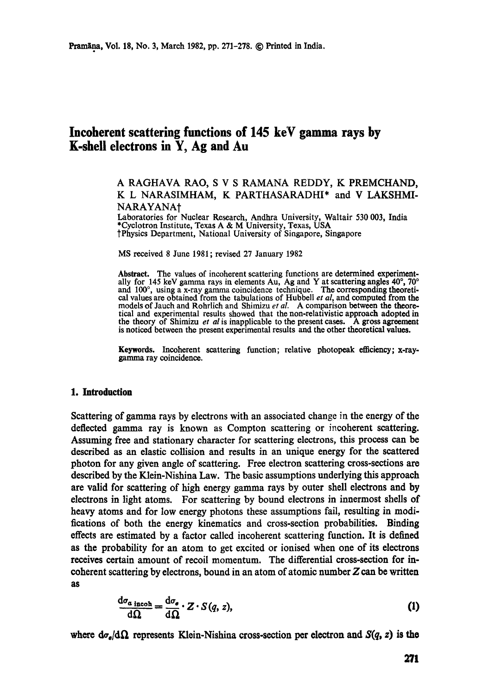# **Incoherent scattering fimctions of 145 keV gamma rays by K-shell electrons in Y, Ag and Au**

# A RAGHAVA RAO, S V S RAMANA REDDY, K PREMCHAND, K L NARASIMHAM, K PARTHASARADHI\* and V LAKSHMI-NARAYANA<sup>+</sup>

Laboratories for Nuclear Research, Andhra University, Waltair 530 003, India \*Cyclotron Institute, Texas A & M University, Texas, USA tPhysics Department, National University of Singapore, Singapore

MS received 8 June 1981 ; revised 27 January 1982

Abstract. The values of incoherent scattering functions are determined experimentally for 145 keV gamma rays in elements Au, Ag and Y at scattering angles  $40^{\circ}$ ,  $70^{\circ}$ and  $100^{\circ}$ , using a x-ray gamma coincidence technique. The corresponding theoretical values are obtained from the tabulations of Hubbell *et al,* and computed from **the**  models of Jauch and Rohrlieh and Shimizu *et al.* A comparison between the theoretical and experimental results showed that the non-relativistic approach adopted in the theory of Shimizu *et al* is inapplicable to the present cases. A gross agreement is noticed between the present experimental results and the other theoretical values.

**Keywords.** Incoherent scattering function; relative photopeak efficiency; x-raygamma ray coincidence.

### **1. Introduction**

Scattering of gamma rays by electrons with an associated change in the energy of the deflected gamma ray is known as Compton scattering or incoherent scattering. Assuming free and stationary character for scattering electrons, this process can be described as an elastic collision and results in an unique energy for the scattered photon for any given angle of scattering. Free electron scattering cross-sections are described by the Klein-Nishina Law. The basic assumptions underlying this approach are valid for scattering of high energy gamma rays by outer shell electrons and by electrons in light atoms. For scattering by bound electrons in innermost shells of heavy atoms and for low energy photons these assumptions fail, resulting in modifications of both the energy kinematics and cross-section probabilities. Binding effects are estimated by a factor called incoherent scattering function. It is defined as the probability for an atom to get excited or ionised when one of its electrons receives certain amount of recoil momentum. The differential cross-section for incoherent scattering by electrons, bound in an atom of atomic number  $Z$  can be written **as** 

$$
\frac{d\sigma_{a\text{ incoh}}}{d\Omega} = \frac{d\sigma_e}{d\Omega} \cdot Z \cdot S(q, z),\tag{1}
$$

where  $d\sigma_{\rm e}/d\Omega$  represents Klein-Nishina cross-section per electron and  $S(q, z)$  is the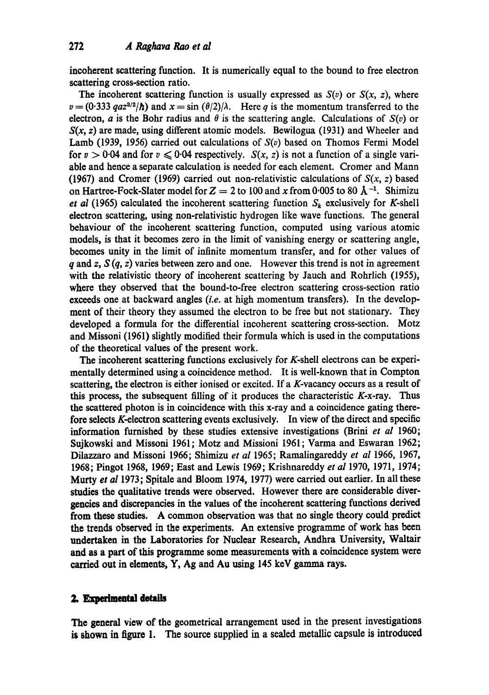incoherent scattering function. It is numerically equal to the bound to free electron scattering cross-section ratio.

The incoherent scattering function is usually expressed as  $S(v)$  or  $S(x, z)$ , where  $v = (0.333 \text{ } q\text{ }a\text{ }z^{3/2}/\hbar)$  and  $x = \sin(\theta/2)/\lambda$ . Here q is the momentum transferred to the electron, *a* is the Bohr radius and  $\theta$  is the scattering angle. Calculations of  $S(v)$  or  $S(x, z)$  are made, using different atomic models. Bewilogua (1931) and Wheeler and Lamb (1939, 1956) carried out calculations of  $S(v)$  based on Thomos Fermi Model for  $v > 0.04$  and for  $v \le 0.04$  respectively.  $S(x, z)$  is not a function of a single variable and hence a separate calculation is needed for each element. Cromer and Mann (1967) and Cromer (1969) carried out non-relativistic calculations of  $S(x, z)$  based on Hartree-Fock-Slater model for  $Z = 2$  to 100 and x from 0.005 to 80 Å<sup>-1</sup>. Shimizu *et al* (1965) calculated the incoherent scattering function  $S_k$  exclusively for K-shell electron scattering, using non-relativistic hydrogen like wave functions. The general behaviour of the incoherent scattering function, computed using various atomic models, is that it becomes zero in the limit of vanishing energy or scattering angle, becomes unity in the limit of infinite momentum transfer, and for other values of q and z,  $S(q, z)$  varies between zero and one. However this trend is not in agreement with the relativistic theory of incoherent scattering by Jauch and Rohrlich (1955), where they observed that the bound-to-free electron scattering cross-section ratio exceeds one at backward angles *(i.e.* at high momentum transfers). In the development of their theory they assumed the electron to be free but not stationary. They developed a formula for the differential incoherent scattering cross-section. Motz and Missoni (1961) slightly modified their formula which is used in the computations of the theoretical values of the present work.

The incoherent scattering functions exclusively for K-shell electrons can be experimentally determined using a coincidence method. It is well-known that in Compton scattering, the electron is either ionised or excited. If a K-vacancy occurs as a result of this process, the subsequent filling of it produces the characteristic  $K$ -x-ray. Thus the scattered photon is in coincidence with this x-ray and a coincidence gating therefore selects K-electron scattering events exclusively. In view of the direct and specific information furnished by these studies extensive investigations (Brini *et al* 1960; Sujkowski and Missoni 1961; Motz and Missioni 1961; Varma and Eswaran 1962; Dilazzaro and Missoni 1966; Shimizu *et al* 1965; Ramalingareddy *et al* 1966, 1967, 1968; Pingot 1968, 1969; East and Lewis 1969; Krishnareddy *et al* 1970, 1971, 1974; Murty *et al* 1973; Spitale and Bloom 1974, 1977) were carried out earlier. In all these studies the qualitative trends were observed. However there are considerable divergencies and discrepancies in the values of the incoherent scattering functions derived **from these** studies. A common observation was that no single theory could predict the trends observed in the experiments. An extensive programme of work has been undertaken in the Laboratories for Nuclear Research, Andhra University, Waltair and as a part of this programme some measurements with a coincidence system were carried out in elements, Y, Ag and Au using 145 keV gamma rays.

## 2. Experimental details

**The** general view of the geometrical arrangement used in the present investigations is shown in figure 1. The source supplied in a sealed metallic capsule is introduced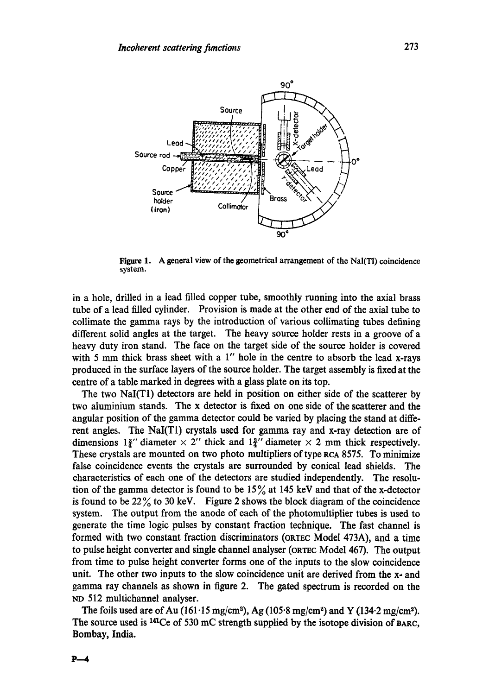

Figure 1. A general view of the geometrical arrangement of the NaI(TI) coincidence system.

in a hole, drilled in a lead filled copper tube, smoothly running into the axial brass tube of a lead filled cylinder. Provision is made at the other end of the axial tube to collimate the gamma rays by the introduction of various collimating tubes defining different solid angles at the target. The heavy source holder rests in a groove of a heavy duty iron stand. The face on the target side of the source holder is covered with 5 mm thick brass sheet with a  $1''$  hole in the centre to absorb the lead x-rays produced in the surface layers of the source holder. The target assembly is fixed at the centre of a table marked in degrees with a glass plate on its top.

The two NaI(T1) detectors are held in position on either side of the scatterer by two aluminium stands. The x detector is fixed on one side of the scatterer and the angular position of the gamma detector could be varied by placing the stand at different angles. The NaI(T1) crystals used for gamma ray and x-ray detection are of dimensions  $1\frac{3}{4}$ " diameter  $\times$  2" thick and  $1\frac{3}{4}$ " diameter  $\times$  2 mm thick respectively. These crystals are mounted on two photo multipliers of type aCA 8575. To minimize false coincidence events the crystals are surrounded by conical lead shields. The characteristics of each one of the detectors are studied independently. The resolution of the gamma detector is found to be  $15\%$  at 145 keV and that of the x-detector is found to be  $22\%$  to 30 keV. Figure 2 shows the block diagram of the coincidence system. The output from the anode of each of the photomultiplier tubes is used to generate the time logic pulses by constant fraction technique. The fast channel is formed with two constant fraction discriminators (ORTEC Model 473A), and a time to pulse height converter and single channel analyser (ORTEC Model 467). The output from time to pulse height converter forms one of the inputs to the slow coincidence unit. The other two inputs to the slow coincidence unit are derived from the  $x$ - and gamma ray channels as shown in figure 2. The gated spectrum is recorded on the ND 512 muItichannel analyser.

The foils used are of Au (161.15 mg/cm<sup>2</sup>), Ag (105.8 mg/cm<sup>2</sup>) and Y (134.2 mg/cm<sup>2</sup>). The source used is <sup>141</sup>Ce of 530 mC strength supplied by the isotope division of BARC, Bombay, India.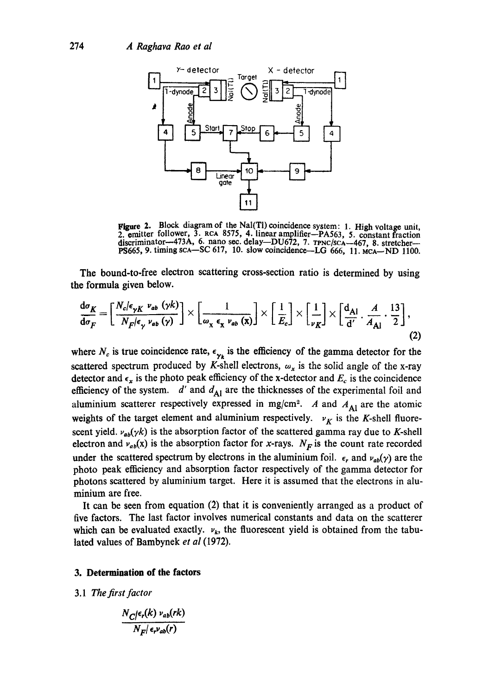

Figure 2. Block diagram of the Nal(Tl) coincidence system: 1. High voltage unit, 2. emitter follower, 3. RCA 8575, 4. linear amplifier--PA563, 5. constant fraction discriminator--473A, 6. nano sec. delay--DU672, 7.  $T_{PNC/SCA}$ -467, 8. stretcher--PS665, 9. timing  $sca - SC$  617, 10. slow coincidence-LG 666, 11. McA $-$ ND 1100.

**The** bound-to-free electron scattering cross-section ratio is determined by using **the** formula given below.

$$
\frac{d\sigma_K}{d\sigma_F} = \left[\frac{N_c/\epsilon_{\gamma K} \nu_{ab} (\gamma k)}{N_F/\epsilon_{\gamma} \nu_{ab} (\gamma)}\right] \times \left[\frac{1}{\omega_x \epsilon_x \nu_{ab} (\mathbf{x})}\right] \times \left[\frac{1}{E_c}\right] \times \left[\frac{1}{\nu_K}\right] \times \left[\frac{d_{\mathbf{Al}}}{d'} \cdot \frac{A}{A_{\mathbf{Al}}} \cdot \frac{13}{2}\right],\tag{2}
$$

where  $N_c$  is true coincidence rate,  $\epsilon_{\gamma_k}$  is the efficiency of the gamma detector for the scattered spectrum produced by K-shell electrons,  $\omega_x$  is the solid angle of the x-ray detector and  $\epsilon_x$  is the photo peak efficiency of the x-detector and  $E_c$  is the coincidence efficiency of the system.  $d'$  and  $d_{\text{Al}}$  are the thicknesses of the experimental foil and aluminium scatterer respectively expressed in mg/cm<sup>2</sup>. A and  $A_{\text{Al}}$  are the atomic weights of the target element and aluminium respectively.  $v_K$  is the K-shell fluorescent yield,  $\nu_{ab}(\gamma k)$  is the absorption factor of the scattered gamma ray due to K-shell electron and  $v_{ab}(x)$  is the absorption factor for x-rays.  $N_F$  is the count rate recorded under the scattered spectrum by electrons in the aluminium foil.  $\epsilon_r$  and  $\nu_{ab}(y)$  are the photo peak efficiency and absorption factor respectively of the gamma detector for photons scattered by aluminium target. Here it is assumed that the electrons in aluminium are free.

It can be seen from equation (2) that it is conveniently arranged as a product of five factors. The last factor involves numerical constants and data on the scatterer which can be evaluated exactly.  $v_k$ , the fluorescent yield is obtained from the tabulated values of Bambynek *et al* (1972).

#### **3. Determination of the factors**

3.1 *The first factor* 

$$
\frac{N_{C}/\epsilon_r(k) v_{ab}(rk)}{N_{F}/\epsilon_r v_{ab}(r)}
$$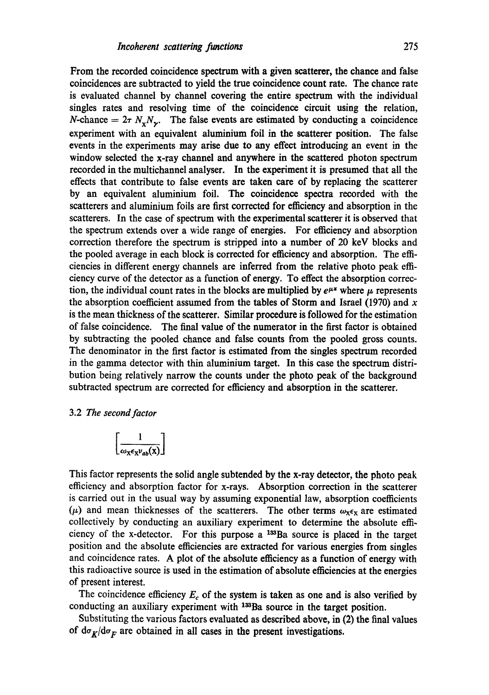From the recorded coincidence spectrum with a given scatterer, the chance and false coincidences are subtracted to yield the true coincidence count rate. The chance rate is evaluated channel by channel covering the entire spectrum with the individual singles rates and resolving time of the coincidence circuit using the relation, N-chance  $= 2\tau N_v N_v$ . The false events are estimated by conducting a coincidence experiment with an equivalent aluminium foil in the scatterer position. The false events in the experiments may arise due to any effect introducing an event in the window selected the x-ray channel and anywhere in the scattered photon spectrum recorded in the multichannel analyser. In the experiment it is presumed that all the effects that contribute to false events are taken care of by replacing the scatterer by an equivalent aluminium foil. The coincidence spectra recorded with the scatterers and aluminium foils are first corrected for efficiency and absorption in the scatterers. In the case of spectrum with the experimental scatterer it is observed that the spectrum extends over a wide range of energies. For efficiency and absorption correction therefore the spectrum is stripped into a number of 20 keV blocks and the pooled average in each block is corrected for efficiency and absorption. The efficiencies in different energy channels are inferred from the relative photo peak efficiency curve of the detector as a function of energy. To effect the absorption correction, the individual count rates in the blocks are multiplied by  $e^{\mu *}$  where  $\mu$  represents the absorption coefficient assumed from the tables of Storm and Israel (1970) and  $x$ is the mean thickness of the scatterer. Similar procedure is followed for the estimation of false coincidence. The final value of the numerator in the first factor is obtained by subtracting the pooled chance and false counts from the pooled gross counts. The denominator in the first factor is estimated from the singles spectrum recorded in the gamma detector with thin aluminium target. In this case the spectrum distribution being relatively narrow the counts under the photo peak of the background subtracted spectrum are corrected for efficiency and absorption in the scatterer.

#### 3.2 *The second factor*

$$
\left[\frac{1}{\omega_{\mathbf{X}}\epsilon_{\mathbf{X}}\nu_{ab}(\mathbf{X})}\right]
$$

This factor represents the solid angle subtended by the x-ray detector, the photo peak efficiency and absorption factor for x-rays. Absorption correction in the scatterer is carried out in the usual way by assuming exponential law, absorption coefficients ( $\mu$ ) and mean thicknesses of the scatterers. The other terms  $\omega_{x} \epsilon_x$  are estimated collectively by conducting an auxiliary experiment to determine the absolute effi. ciency of the x-detector. For this purpose a  $133$ Ba source is placed in the target position and the absolute efficiencies are extracted for various energies from singles and coincidence rates. A plot of the absolute efficiency as a function of energy with this radioactive source is used in the estimation of absolute efficiencies at the energies of present interest.

The coincidence efficiency  $E_c$  of the system is taken as one and is also verified by conducting an auxiliary experiment with <sup>133</sup>Ba source in the target position.

Substituting the various factors evaluated as described above, in (2) the final values of  $d\sigma_K/d\sigma_F$  are obtained in all cases in the present investigations.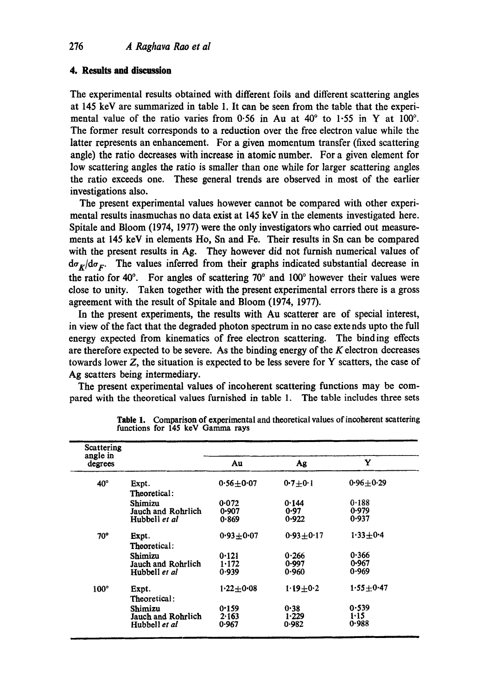# **4. Results and discussion**

The experimental results obtained with different foils and different scattering angles at 145 keV are summarized in table 1. It can be seen from the table that the experimental value of the ratio varies from 0.56 in Au at  $40^{\circ}$  to 1.55 in Y at 100 $^{\circ}$ . The former result corresponds to a reduction over the free electron value while the latter represents an enhancement. For a given momentum transfer (fixed scattering angle) the ratio decreases with increase in atomic number. For a given element for low scattering angles the ratio is smaller than one while for larger scattering angles the ratio exceeds one. These general trends are observed in most of the earlier investigations also.

The present experimental values however cannot be compared with other experimental results inasmuchas no data exist at 145 keV in the elements investigated here. Spitale and Bloom (1974, 1977) were the only investigators who carried out measurements at 145 keV in elements Ho, Sn and Fe. Their results in Sn can be compared with the present results in Ag. They however did not furnish numerical values of  $d\sigma_K/d\sigma_F$ . The values inferred from their graphs indicated substantial decrease in the ratio for 40 $\degree$ . For angles of scattering 70 $\degree$  and 100 $\degree$  however their values were close to unity. Taken together with the present experimental errors there is a gross agreement with the result of Spitale and Bloom (1974, 1977).

In the present experiments, the results with Au scatterer are of special interest, in view of the fact that the degraded photon spectrum in no case extends upto the full energy expected from kinematics of free electron scattering. The binding effects are therefore expected to be severe. As the binding energy of the  $K$  electron decreases towards lower Z, the situation is expected to be less severe for Y scatters, the case of Ag scatters being intermediary.

The present experimental values of incoherent scattering functions may be compared with the theoretical values furnished in table 1. The table includes three sets

| Scattering<br>angle in<br>degrees |                                                       |                         |                         |                         |
|-----------------------------------|-------------------------------------------------------|-------------------------|-------------------------|-------------------------|
|                                   |                                                       | Au                      | Ag                      | Y                       |
| $40^\circ$                        | Expt.<br>Theoretical:                                 | $0.56 + 0.07$           | $0.7 + 0.1$             | $0.96 + 0.29$           |
|                                   | Shimizu<br>Jauch and Rohrlich<br>Hubbell et al        | 0.072<br>0.907<br>0.869 | 0.144<br>0.97<br>0.922  | 0.188<br>0.979<br>0.937 |
| 70°                               | Expt.<br>Theoretical:                                 | $0.93 + 0.07$           | $0.93 + 0.17$           | $1.33 + 0.4$            |
|                                   | Shimizu<br>Jauch and Rohrlich<br>Hubbell <i>et al</i> | 0.121<br>1.172<br>0.939 | 0.266<br>0.997<br>0.960 | 0.366<br>0.967<br>0.969 |
| $100^\circ$                       | Expt.<br>Theoretical:                                 | $1.22 + 0.08$           | $1.19 + 0.2$            | $1.55 + 0.47$           |
|                                   | Shimizu<br>Jauch and Rohrlich<br>Hubbell et al        | 0.159<br>2.163<br>0.967 | 0.38<br>1.229<br>0.982  | 0.539<br>1.15<br>0.988  |

**Table** 1. Comparison of experimental and theoretical values of incoherent scattering functions for 145 keV Gamma rays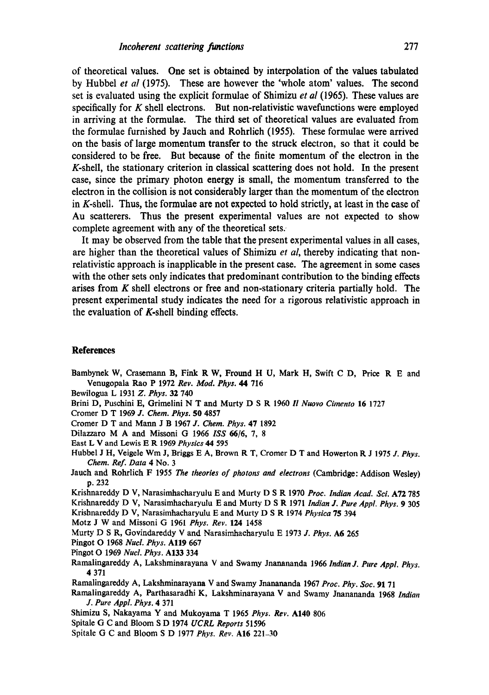of theoretical values. One set is obtained by interpolation of the values tabulated by Hubbel *et al* (1975). These are however the 'whole atom' values. The second set is evaluated using the explicit formulae of Shimizu *et al* (1965). These values are specifically for  $K$  shell electrons. But non-relativistic wavefunctions were employed in arriving at the formulae. The third set of theoretical values are evaluated from the formulae furnished by Jauch and Rohrlich (1955). These formulae were arrived on the basis of large momentum transfer to the struck electron, so that it could be considered to be free. But because of the finite momentum of the electron in the K-shell, the stationary criterion in classical scattering does not hold. In the present case, since the primary photon energy is small, the momentum transferred to the electron in the collision is not considerably larger than the momentum of the electron in K-shell. Thus, the formulae are not expected to hold strictly, at least in the ease of Au scatterers. Thus the present experimental values are not expected to show complete agreement with any of the theoretical sets.

It may be observed from the table that the present experimental values in all cases, are higher than the theoretical values of Shimizu *et al,* thereby indicating that nonrelativistic approach is inapplicable in the present ease. The agreement in some cases with the other sets only indicates that predominant contribution to the binding effects arises from  $K$  shell electrons or free and non-stationary criteria partially hold. The present experimental study indicates the need for a rigorous relativistic approach in the evaluation of K-shell binding effects.

### **References**

- Bambynek W, Crasemann B, Fink R W, Fround H U, Mark H, Swift C D, Price R E and Venugopala Rao P 1972 *Rev. Mod. Phys. 44* 716
- Bewilogua L 1931 *Z. Phys.* 32 740
- Brini D, Pusehini E, Grimelini N T and Murty D S R 1960 *I! Nuovo Cimento* 16 1727
- Cromer D T 1969 *J. Chem. Phys.* 50 4857
- Cromer D T and Mann J B 1967 *J. Chem. Phys.* 47 1892
- Dilazzaro M A and Missoni G 1966 *ISS* 66/6, 7, 8
- East L V and Lewis E R 1969 *Physics 44* 595
- Hubbel J H, Veigele Wm J, Briggs E A, Brown R T, Cromer D T and Howerton K J 1975 *J. Phys. Chem. Ref. Data* 4 No. 3
- Jaueh and Rohrlich F 1955 *The theories of photons and electrons* (Cambridge: Addison Wesley) p. 232
- Krishnareddy D V, Narasimhacharyulu E and Murty D S R 1970 *Proc. Indian Acad. Sci.* A72 785
- Krislmareddy D V, Narasimhacharyulu E and Murty D S R 1971 *Indian J. Pure Appl. Phys.* 9 305
- Krishnareddy D V, Narasimhacharyulu E and Murty D S R 1974 *Physica* 75 394
- Motz J W and Missoni G 1961 *Phys. Rev.* 124 1458
- Murty D S R, Goviadareddy V and Narasimhaeharyulu E 1973 *J. Phys.* A6 265
- Pingot O 1968 *Nucl. Phys.* All9 667
- Pingot O 1969 *Nucl. Phys.* A133 334
- Ramalingareddy A, Lakshminarayana V and Swamy Jnanananda 1966 *Indian J. Pure Appl. Phys.*  **4** 371
- Ramalingareddy A, Lakshminarayana V and Swamy Jnanananda 1967 *Prec. Phy. See.* 91 71
- Ramalingareddy A, Parthasaradhi K, Lakshminarayana V and Swamy Jnanananda 1968 *Indian J. Pure Appl. Phys.* 4 371
- Shimizu S, Nakayama Y and Mukoyama T 1965 *Phys. Rev.* AI40 806
- Spitale G C and Bloom S D 1974 *UCRL Reports* 51596
- Spitale G C and Bloom S D 1977 *Phys. Rev.* AI6 221-30